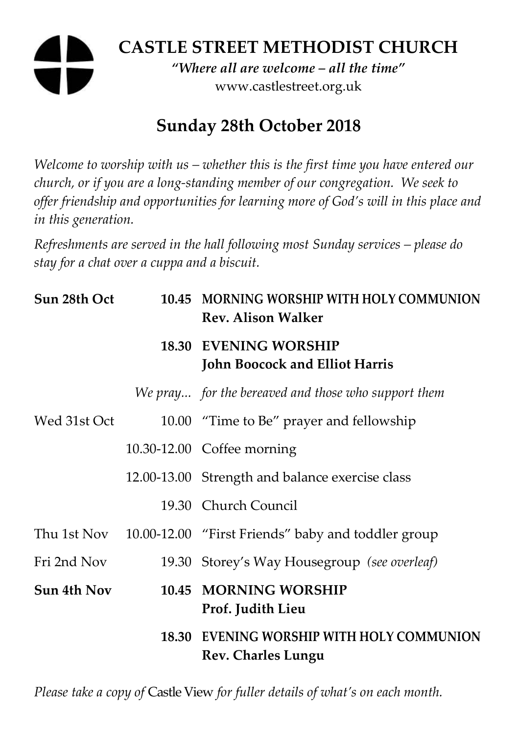# **CASTLE STREET METHODIST CHURCH**

*"Where all are welcome – all the time"*  www.castlestreet.org.uk

## **Sunday 28th October 2018**

*Welcome to worship with us – whether this is the first time you have entered our church, or if you are a long-standing member of our congregation. We seek to offer friendship and opportunities for learning more of God's will in this place and in this generation.* 

*Refreshments are served in the hall following most Sunday services – please do stay for a chat over a cuppa and a biscuit.* 

| Sun 28th Oct | 10.45 MORNING WORSHIP WITH HOLY COMMUNION<br><b>Rev. Alison Walker</b> |
|--------------|------------------------------------------------------------------------|
|              | <b>18.30 EVENING WORSHIP</b><br><b>John Boocock and Elliot Harris</b>  |
|              | We pray for the bereaved and those who support them                    |
| Wed 31st Oct | 10.00 "Time to Be" prayer and fellowship                               |
|              | 10.30-12.00 Coffee morning                                             |
|              | 12.00-13.00 Strength and balance exercise class                        |
|              | 19.30 Church Council                                                   |
|              | Thu 1st Nov 10.00-12.00 "First Friends" baby and toddler group         |
| Fri 2nd Nov  | 19.30 Storey's Way Housegroup (see overleaf)                           |
| Sun 4th Nov  | 10.45 MORNING WORSHIP<br>Prof. Judith Lieu                             |
|              | 18.30 EVENING WORSHIP WITH HOLY COMMUNION<br><b>Rev. Charles Lungu</b> |

*Please take a copy of* Castle View *for fuller details of what's on each month.*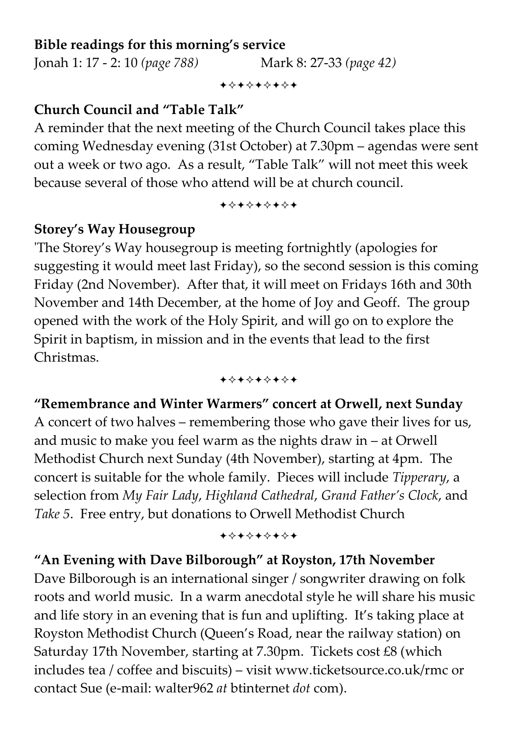#### **Bible readings for this morning's service**

Jonah 1: 17 - 2: 10 *(page 788)* Mark 8: 27-33 *(page 42)*

+⊹+⊹+⊹+⊹+

#### **Church Council and "Table Talk"**

A reminder that the next meeting of the Church Council takes place this coming Wednesday evening (31st October) at 7.30pm – agendas were sent out a week or two ago. As a result, "Table Talk" will not meet this week because several of those who attend will be at church council.

+\*\*\*\*\*\*\*

#### **Storey's Way Housegroup**

'The Storey's Way housegroup is meeting fortnightly (apologies for suggesting it would meet last Friday), so the second session is this coming Friday (2nd November). After that, it will meet on Fridays 16th and 30th November and 14th December, at the home of Joy and Geoff. The group opened with the work of the Holy Spirit, and will go on to explore the Spirit in baptism, in mission and in the events that lead to the first Christmas.

+\*\*\*\*\*\*\*

## **"Remembrance and Winter Warmers" concert at Orwell, next Sunday**  A concert of two halves – remembering those who gave their lives for us, and music to make you feel warm as the nights draw in – at Orwell Methodist Church next Sunday (4th November), starting at 4pm. The concert is suitable for the whole family. Pieces will include *Tipperary*, a selection from *My Fair Lady*, *Highland Cathedral*, *Grand Father's Clock*, and *Take 5*. Free entry, but donations to Orwell Methodist Church

+\*+\*\*\*\*\*

#### **"An Evening with Dave Bilborough" at Royston, 17th November**

Dave Bilborough is an international singer / songwriter drawing on folk roots and world music. In a warm anecdotal style he will share his music and life story in an evening that is fun and uplifting. It's taking place at Royston Methodist Church (Queen's Road, near the railway station) on Saturday 17th November, starting at 7.30pm. Tickets cost £8 (which includes tea / coffee and biscuits) – visit www.ticketsource.co.uk/rmc or contact Sue (e-mail: walter962 *at* btinternet *dot* com).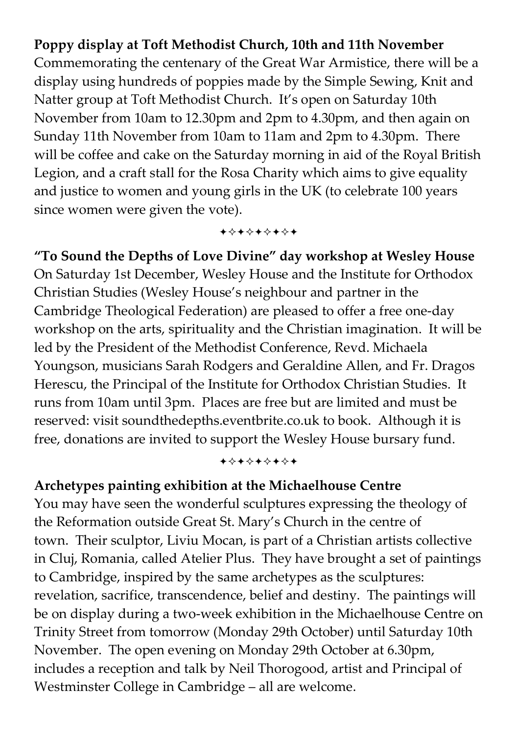#### **Poppy display at Toft Methodist Church, 10th and 11th November**

Commemorating the centenary of the Great War Armistice, there will be a display using hundreds of poppies made by the Simple Sewing, Knit and Natter group at Toft Methodist Church. It's open on Saturday 10th November from 10am to 12.30pm and 2pm to 4.30pm, and then again on Sunday 11th November from 10am to 11am and 2pm to 4.30pm. There will be coffee and cake on the Saturday morning in aid of the Royal British Legion, and a craft stall for the Rosa Charity which aims to give equality and justice to women and young girls in the UK (to celebrate 100 years since women were given the vote).

+\*\*\*\*\*\*\*

**"To Sound the Depths of Love Divine" day workshop at Wesley House**  On Saturday 1st December, Wesley House and the Institute for Orthodox Christian Studies (Wesley House's neighbour and partner in the Cambridge Theological Federation) are pleased to offer a free one-day workshop on the arts, spirituality and the Christian imagination. It will be led by the President of the Methodist Conference, Revd. Michaela Youngson, musicians Sarah Rodgers and Geraldine Allen, and Fr. Dragos Herescu, the Principal of the Institute for Orthodox Christian Studies. It runs from 10am until 3pm. Places are free but are limited and must be reserved: visit soundthedepths.eventbrite.co.uk to book. Although it is free, donations are invited to support the Wesley House bursary fund.

+\*\*\*\*\*\*\*

#### **Archetypes painting exhibition at the Michaelhouse Centre**

You may have seen the wonderful sculptures expressing the theology of the Reformation outside Great St. Mary's Church in the centre of town. Their sculptor, Liviu Mocan, is part of a Christian artists collective in Cluj, Romania, called Atelier Plus. They have brought a set of paintings to Cambridge, inspired by the same archetypes as the sculptures: revelation, sacrifice, transcendence, belief and destiny. The paintings will be on display during a two-week exhibition in the Michaelhouse Centre on Trinity Street from tomorrow (Monday 29th October) until Saturday 10th November. The open evening on Monday 29th October at 6.30pm, includes a reception and talk by Neil Thorogood, artist and Principal of Westminster College in Cambridge – all are welcome.